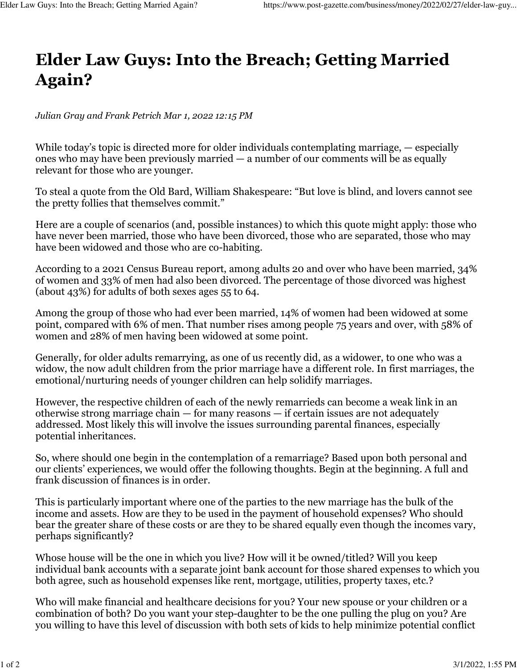## **Elder Law Guys: Into the Breach; Getting Married Again?**

*Julian Gray and Frank Petrich Mar 1, 2022 12:15 PM*

While today's topic is directed more for older individuals contemplating marriage, — especially ones who may have been previously married — a number of our comments will be as equally relevant for those who are younger.

To steal a quote from the Old Bard, William Shakespeare: "But love is blind, and lovers cannot see the pretty follies that themselves commit."

Here are a couple of scenarios (and, possible instances) to which this quote might apply: those who have never been married, those who have been divorced, those who are separated, those who may have been widowed and those who are co-habiting.

According to a 2021 Census Bureau report, among adults 20 and over who have been married, 34% of women and 33% of men had also been divorced. The percentage of those divorced was highest (about 43%) for adults of both sexes ages 55 to 64.

Among the group of those who had ever been married, 14% of women had been widowed at some point, compared with 6% of men. That number rises among people 75 years and over, with 58% of women and 28% of men having been widowed at some point.

Generally, for older adults remarrying, as one of us recently did, as a widower, to one who was a widow, the now adult children from the prior marriage have a different role. In first marriages, the emotional/nurturing needs of younger children can help solidify marriages.

However, the respective children of each of the newly remarrieds can become a weak link in an otherwise strong marriage chain  $-$  for many reasons  $-$  if certain issues are not adequately addressed. Most likely this will involve the issues surrounding parental finances, especially potential inheritances.

So, where should one begin in the contemplation of a remarriage? Based upon both personal and our clients' experiences, we would offer the following thoughts. Begin at the beginning. A full and frank discussion of finances is in order.

This is particularly important where one of the parties to the new marriage has the bulk of the income and assets. How are they to be used in the payment of household expenses? Who should bear the greater share of these costs or are they to be shared equally even though the incomes vary, perhaps significantly?

Whose house will be the one in which you live? How will it be owned/titled? Will you keep individual bank accounts with a separate joint bank account for those shared expenses to which you both agree, such as household expenses like rent, mortgage, utilities, property taxes, etc.?

Who will make financial and healthcare decisions for you? Your new spouse or your children or a combination of both? Do you want your step-daughter to be the one pulling the plug on you? Are you willing to have this level of discussion with both sets of kids to help minimize potential conflict